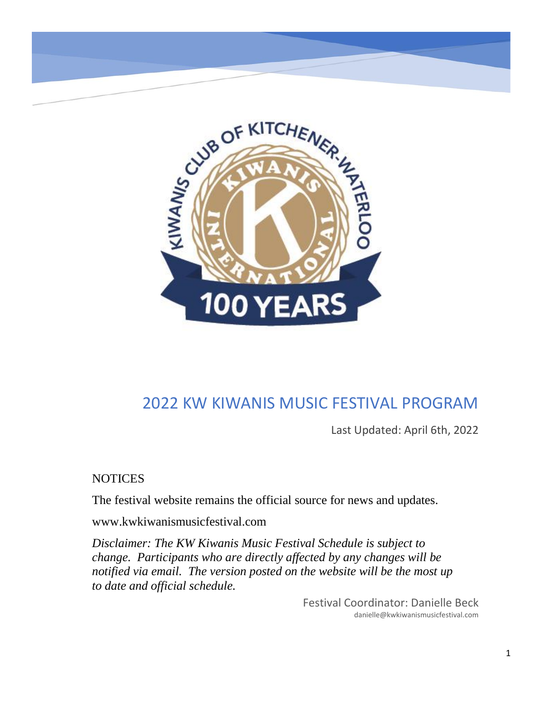

## 2022 KW KIWANIS MUSIC FESTIVAL PROGRAM

Last Updated: April 6th, 2022

**NOTICES** 

The festival website remains the official source for news and updates.

www.kwkiwanismusicfestival.com

*Disclaimer: The KW Kiwanis Music Festival Schedule is subject to change. Participants who are directly affected by any changes will be notified via email. The version posted on the website will be the most up to date and official schedule.*

> Festival Coordinator: Danielle Beck danielle@kwkiwanismusicfestival.com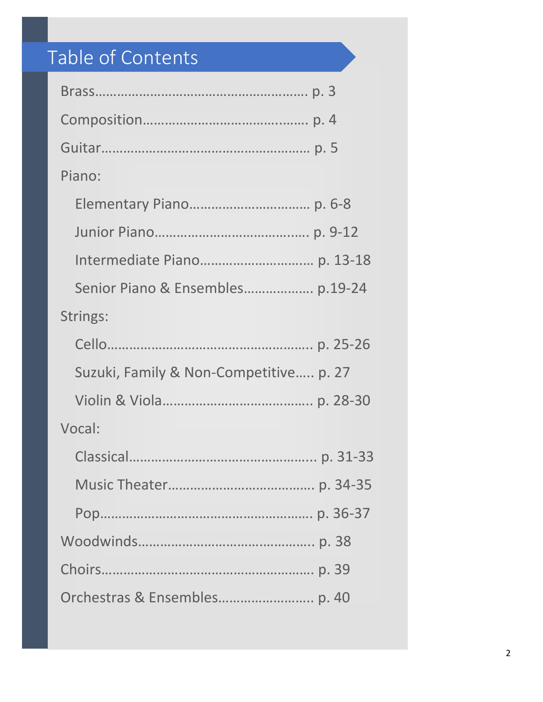# Table of Contents

| Piano:                                 |
|----------------------------------------|
|                                        |
|                                        |
|                                        |
| Senior Piano & Ensembles p.19-24       |
| Strings:                               |
|                                        |
| Suzuki, Family & Non-Competitive p. 27 |
|                                        |
| Vocal:                                 |
|                                        |
|                                        |
|                                        |
|                                        |
|                                        |
|                                        |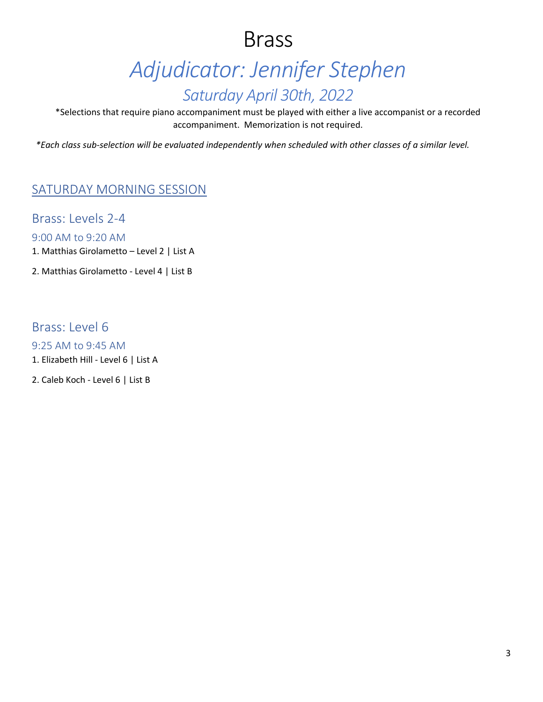# Brass *Adjudicator: Jennifer Stephen Saturday April 30th, 2022*

\*Selections that require piano accompaniment must be played with either a live accompanist or a recorded accompaniment. Memorization is not required.

*\*Each class sub-selection will be evaluated independently when scheduled with other classes of a similar level.*

#### SATURDAY MORNING SESSION

Brass: Levels 2-4

9:00 AM to 9:20 AM

1. Matthias Girolametto – Level 2 | List A

2. Matthias Girolametto - Level 4 | List B

Brass: Level 6

9:25 AM to 9:45 AM 1. Elizabeth Hill - Level 6 | List A

2. Caleb Koch - Level 6 | List B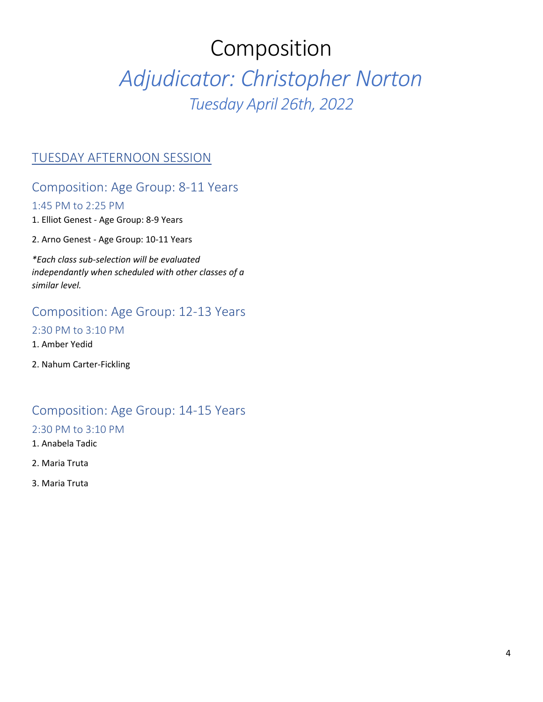# Composition

# *Adjudicator: Christopher Norton Tuesday April 26th, 2022*

#### TUESDAY AFTERNOON SESSION

#### Composition: Age Group: 8-11 Years

#### 1:45 PM to 2:25 PM

- 1. Elliot Genest Age Group: 8-9 Years
- 2. Arno Genest Age Group: 10-11 Years

*\*Each class sub-selection will be evaluated independantly when scheduled with other classes of a similar level.*

#### Composition: Age Group: 12-13 Years

#### 2:30 PM to 3:10 PM

- 1. Amber Yedid
- 2. Nahum Carter-Fickling

#### Composition: Age Group: 14-15 Years

#### 2:30 PM to 3:10 PM

- 1. Anabela Tadic
- 2. Maria Truta
- 3. Maria Truta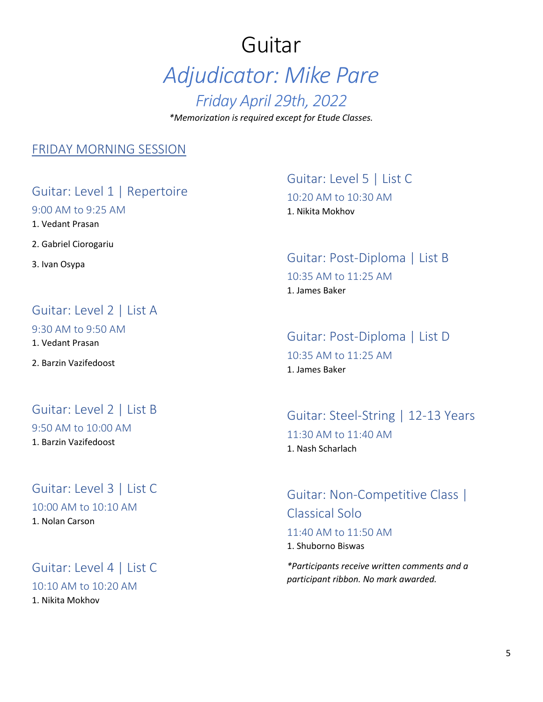# Guitar *Adjudicator: Mike Pare Friday April 29th, 2022 \*Memorization is required except for Etude Classes.*

#### FRIDAY MORNING SESSION

#### Guitar: Level 1 | Repertoire

9:00 AM to 9:25 AM

1. Vedant Prasan

2. Gabriel Ciorogariu

3. Ivan Osypa

### Guitar: Level 2 | List A

9:30 AM to 9:50 AM

1. Vedant Prasan

2. Barzin Vazifedoost

#### Guitar: Level 2 | List B

9:50 AM to 10:00 AM 1. Barzin Vazifedoost

#### Guitar: Level 3 | List C

10:00 AM to 10:10 AM

1. Nolan Carson

## Guitar: Level 4 | List C

10:10 AM to 10:20 AM

1. Nikita Mokhov

## Guitar: Level 5 | List C 10:20 AM to 10:30 AM 1. Nikita Mokhov

#### Guitar: Post-Diploma | List B 10:35 AM to 11:25 AM 1. James Baker

## Guitar: Post-Diploma | List D

10:35 AM to 11:25 AM 1. James Baker

#### Guitar: Steel-String | 12-13 Years 11:30 AM to 11:40 AM 1. Nash Scharlach

Guitar: Non-Competitive Class | Classical Solo 11:40 AM to 11:50 AM 1. Shuborno Biswas

*\*Participants receive written comments and a participant ribbon. No mark awarded.*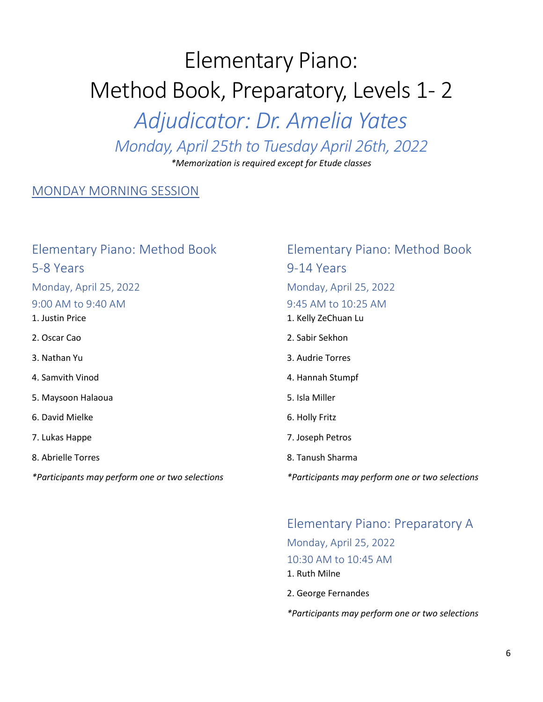# Elementary Piano: Method Book, Preparatory, Levels 1- 2 *Adjudicator: Dr. Amelia Yates Monday, April 25th to Tuesday April 26th, 2022*

*\*Memorization is required except for Etude classes*

#### MONDAY MORNING SESSION

| Elementary Piano: Method Book                   | Element       |
|-------------------------------------------------|---------------|
| 5-8 Years                                       | 9-14 Yea      |
| Monday, April 25, 2022                          | Monday,       |
| 9:00 AM to 9:40 AM                              | 9:45 AM t     |
| 1. Justin Price                                 | 1. Kelly ZeC  |
| 2. Oscar Cao                                    | 2. Sabir Sek  |
| 3. Nathan Yu                                    | 3. Audrie T   |
| 4. Samvith Vinod                                | 4. Hannah!    |
| 5. Maysoon Halaoua                              | 5. Isla Mille |
| 6. David Mielke                                 | 6. Holly Frit |
| 7. Lukas Happe                                  | 7. Joseph P   |
| 8. Abrielle Torres                              | 8. Tanush S   |
| *Participants may perform one or two selections | *Participan   |

## tary Piano: Method Book ars April 25, 2022 to  $10:25$  AM huan Lu  $$ orres Stumpf 5. Isla Miller 6. Holly Fritz etros

- $sharma$
- *\*Participants may perform one or two selections*

#### Elementary Piano: Preparatory A

Monday, April 25, 2022 10:30 AM to 10:45 AM 1. Ruth Milne

2. George Fernandes

*\*Participants may perform one or two selections*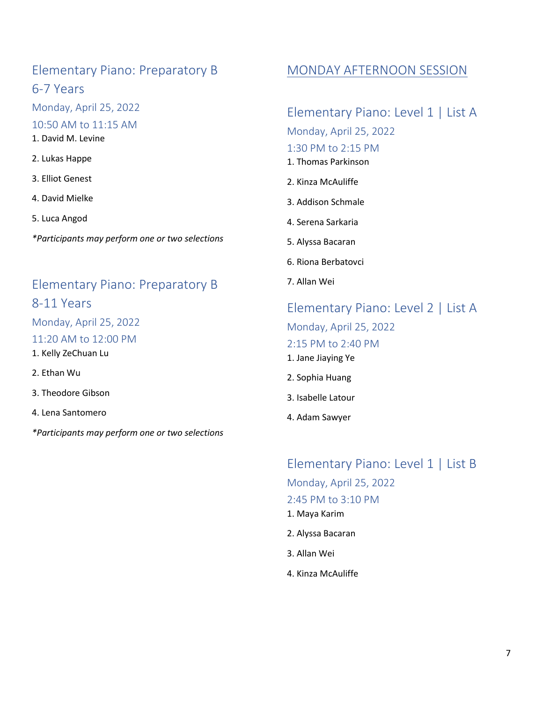#### Elementary Piano: Preparatory B 6-7 Years

Monday, April 25, 2022

10:50 AM to 11:15 AM

- 1. David M. Levine
- 2. Lukas Happe
- 3. Elliot Genest
- 4. David Mielke
- 5. Luca Angod

*\*Participants may perform one or two selections*

## Elementary Piano: Preparatory B 8-11 Years

Monday, April 25, 2022 11:20 AM to 12:00 PM

- 1. Kelly ZeChuan Lu
- 2. Ethan Wu
- 3. Theodore Gibson
- 4. Lena Santomero

*\*Participants may perform one or two selections*

#### MONDAY AFTERNOON SESSION

#### Elementary Piano: Level 1 | List A

Monday, April 25, 2022

#### 1:30 PM to 2:15 PM

- 1. Thomas Parkinson
- 2. Kinza McAuliffe
- 3. Addison Schmale
- 4. Serena Sarkaria
- 5. Alyssa Bacaran
- 6. Riona Berbatovci
- 7. Allan Wei

## Elementary Piano: Level 2 | List A Monday, April 25, 2022 2:15 PM to 2:40 PM 1. Jane Jiaying Ye 2. Sophia Huang

- 3. Isabelle Latour
- 4. Adam Sawyer

## Elementary Piano: Level 1 | List B Monday, April 25, 2022 2:45 PM to 3:10 PM

- 1. Maya Karim
- 2. Alyssa Bacaran
- 3. Allan Wei
- 4. Kinza McAuliffe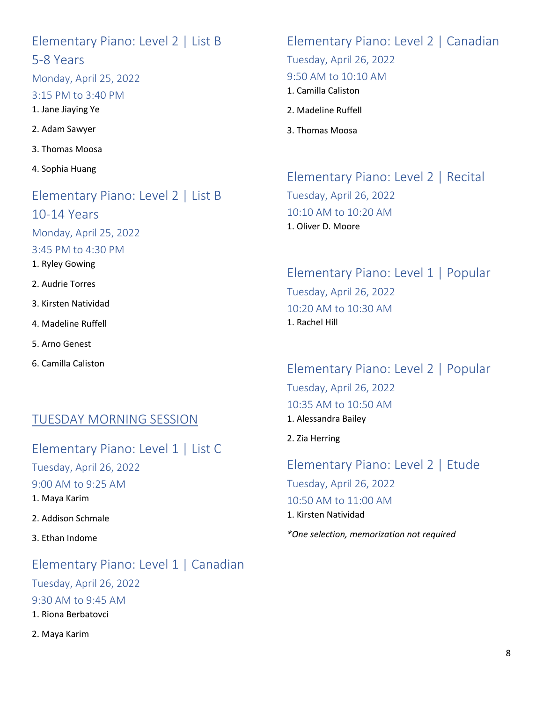#### Elementary Piano: Level 2 | List B 5-8 Years

Monday, April 25, 2022

#### 3:15 PM to 3:40 PM

1. Jane Jiaying Ye

- 2. Adam Sawyer
- 3. Thomas Moosa
- 4. Sophia Huang

#### Elementary Piano: Level 2 | List B 10-14 Years

Monday, April 25, 2022

3:45 PM to 4:30 PM

- 1. Ryley Gowing
- 2. Audrie Torres
- 3. Kirsten Natividad
- 4. Madeline Ruffell
- 5. Arno Genest
- 6. Camilla Caliston

#### TUESDAY MORNING SESSION

Elementary Piano: Level 1 | List C Tuesday, April 26, 2022 9:00 AM to 9:25 AM 1. Maya Karim

2. Addison Schmale

3. Ethan Indome

Elementary Piano: Level 1 | Canadian Tuesday, April 26, 2022 9:30 AM to 9:45 AM 1. Riona Berbatovci 2. Maya Karim

## Elementary Piano: Level 2 | Canadian

Tuesday, April 26, 2022

#### 9:50 AM to 10:10 AM

- 1. Camilla Caliston
- 2. Madeline Ruffell
- 3. Thomas Moosa

Elementary Piano: Level 2 | Recital Tuesday, April 26, 2022 10:10 AM to 10:20 AM 1. Oliver D. Moore

Elementary Piano: Level 1 | Popular Tuesday, April 26, 2022 10:20 AM to 10:30 AM 1. Rachel Hill

Elementary Piano: Level 2 | Popular Tuesday, April 26, 2022 10:35 AM to 10:50 AM 1. Alessandra Bailey

2. Zia Herring

Elementary Piano: Level 2 | Etude Tuesday, April 26, 2022 10:50 AM to 11:00 AM 1. Kirsten Natividad

*\*One selection, memorization not required*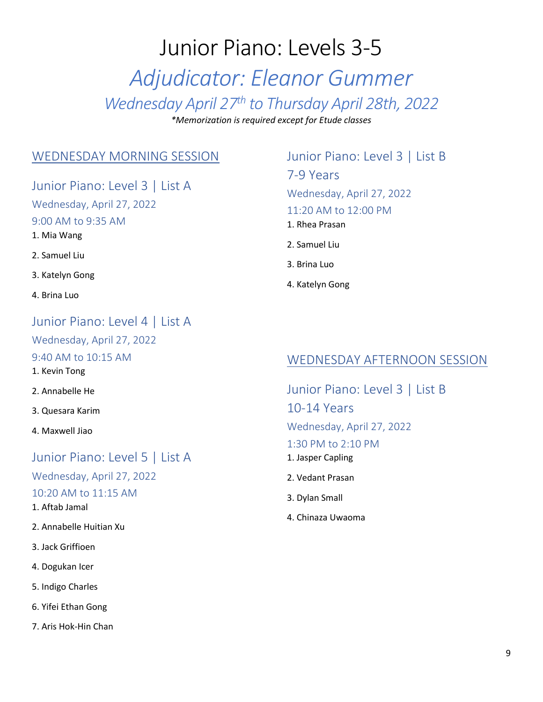# Junior Piano: Levels 3-5 *Adjudicator: Eleanor Gummer Wednesday April 27th to Thursday April 28th, 2022*

*\*Memorization is required except for Etude classes*

#### WEDNESDAY MORNING SESSION

Junior Piano: Level 3 | List A

Wednesday, April 27, 2022 9:00 AM to 9:35 AM

- 1. Mia Wang
- 2. Samuel Liu
- 3. Katelyn Gong
- 4. Brina Luo

#### Junior Piano: Level 4 | List A

Wednesday, April 27, 2022

#### 9:40 AM to 10:15 AM

1. Kevin Tong

- 2. Annabelle He
- 3. Quesara Karim
- 4. Maxwell Jiao

#### Junior Piano: Level 5 | List A

Wednesday, April 27, 2022

- 10:20 AM to 11:15 AM
- 1. Aftab Jamal
- 2. Annabelle Huitian Xu
- 3. Jack Griffioen
- 4. Dogukan Icer
- 5. Indigo Charles
- 6. Yifei Ethan Gong
- 7. Aris Hok-Hin Chan

## Junior Piano: Level 3 | List B 7-9 Years Wednesday, April 27, 2022 11:20 AM to 12:00 PM 1. Rhea Prasan

- 2. Samuel Liu
- 3. Brina Luo
- 4. Katelyn Gong

#### WEDNESDAY AFTERNOON SESSION

Junior Piano: Level 3 | List B 10-14 Years Wednesday, April 27, 2022 1:30 PM to 2:10 PM 1. Jasper Capling 2. Vedant Prasan

- 3. Dylan Small
- 4. Chinaza Uwaoma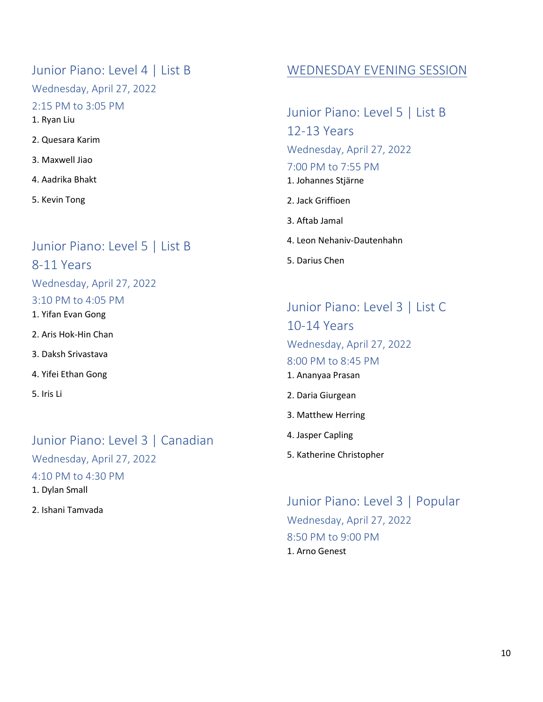Junior Piano: Level 4 | List B Wednesday, April 27, 2022 2:15 PM to 3:05 PM 1. Ryan Liu 2. Quesara Karim 3. Maxwell Jiao 4. Aadrika Bhakt

5. Kevin Tong

#### Junior Piano: Level 5 | List B

8-11 Years

Wednesday, April 27, 2022

#### 3:10 PM to 4:05 PM

1. Yifan Evan Gong

2. Aris Hok-Hin Chan

3. Daksh Srivastava

4. Yifei Ethan Gong

5. Iris Li

#### Junior Piano: Level 3 | Canadian

Wednesday, April 27, 2022

4:10 PM to 4:30 PM

1. Dylan Small

2. Ishani Tamvada

#### WEDNESDAY EVENING SESSION

Junior Piano: Level 5 | List B 12-13 Years Wednesday, April 27, 2022 7:00 PM to 7:55 PM 1. Johannes Stjärne 2. Jack Griffioen 3. Aftab Jamal

4. Leon Nehaniv-Dautenhahn

5. Darius Chen

## Junior Piano: Level 3 | List C 10-14 Years Wednesday, April 27, 2022 8:00 PM to 8:45 PM 1. Ananyaa Prasan 2. Daria Giurgean

- 3. Matthew Herring
- 4. Jasper Capling
- 5. Katherine Christopher

Junior Piano: Level 3 | Popular Wednesday, April 27, 2022 8:50 PM to 9:00 PM 1. Arno Genest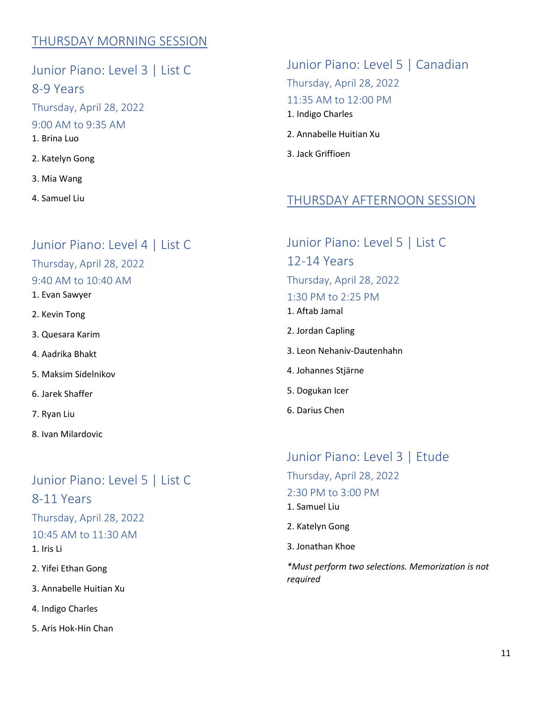#### THURSDAY MORNING SESSION

Junior Piano: Level 3 | List C 8-9 Years Thursday, April 28, 2022 9:00 AM to 9:35 AM 1. Brina Luo 2. Katelyn Gong 3. Mia Wang

4. Samuel Liu

#### Junior Piano: Level 4 | List C

#### Thursday, April 28, 2022

#### 9:40 AM to 10:40 AM

- 1. Evan Sawyer
- 2. Kevin Tong
- 3. Quesara Karim
- 4. Aadrika Bhakt
- 5. Maksim Sidelnikov
- 6. Jarek Shaffer
- 7. Ryan Liu
- 8. Ivan Milardovic

#### Junior Piano: Level 5 | List C

8-11 Years Thursday, April 28, 2022 10:45 AM to 11:30 AM

1. Iris Li

2. Yifei Ethan Gong

3. Annabelle Huitian Xu

4. Indigo Charles

5. Aris Hok-Hin Chan

## Junior Piano: Level 5 | Canadian Thursday, April 28, 2022 11:35 AM to 12:00 PM 1. Indigo Charles

- 2. Annabelle Huitian Xu
- 3. Jack Griffioen

#### THURSDAY AFTERNOON SESSION

## Junior Piano: Level 5 | List C 12-14 Years Thursday, April 28, 2022 1:30 PM to 2:25 PM 1. Aftab Jamal

- 2. Jordan Capling
- 3. Leon Nehaniv-Dautenhahn
- 4. Johannes Stjärne
- 5. Dogukan Icer
- 6. Darius Chen

#### Junior Piano: Level 3 | Etude

Thursday, April 28, 2022

- 2:30 PM to 3:00 PM
- 1. Samuel Liu
- 2. Katelyn Gong
- 3. Jonathan Khoe

*\*Must perform two selections. Memorization is not required*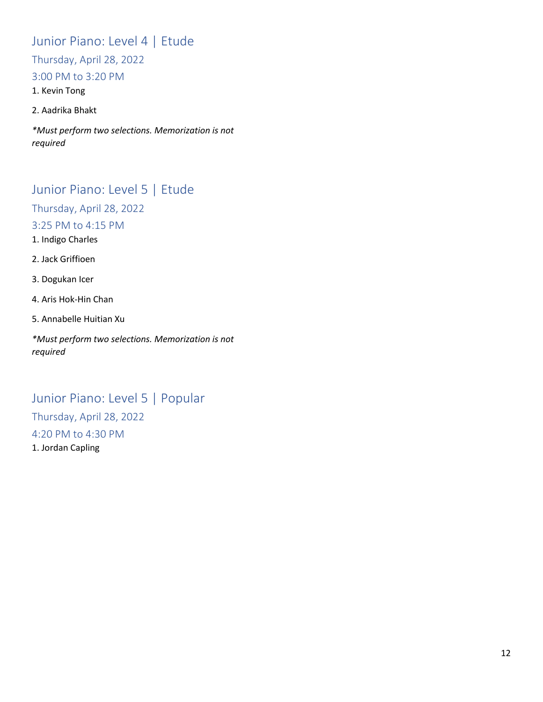## Junior Piano: Level 4 | Etude

Thursday, April 28, 2022

#### 3:00 PM to 3:20 PM

1. Kevin Tong

#### 2. Aadrika Bhakt

*\*Must perform two selections. Memorization is not required*

#### Junior Piano: Level 5 | Etude

Thursday, April 28, 2022

3:25 PM to 4:15 PM

1. Indigo Charles

2. Jack Griffioen

3. Dogukan Icer

- 4. Aris Hok-Hin Chan
- 5. Annabelle Huitian Xu

*\*Must perform two selections. Memorization is not required*

## Junior Piano: Level 5 | Popular

Thursday, April 28, 2022 4:20 PM to 4:30 PM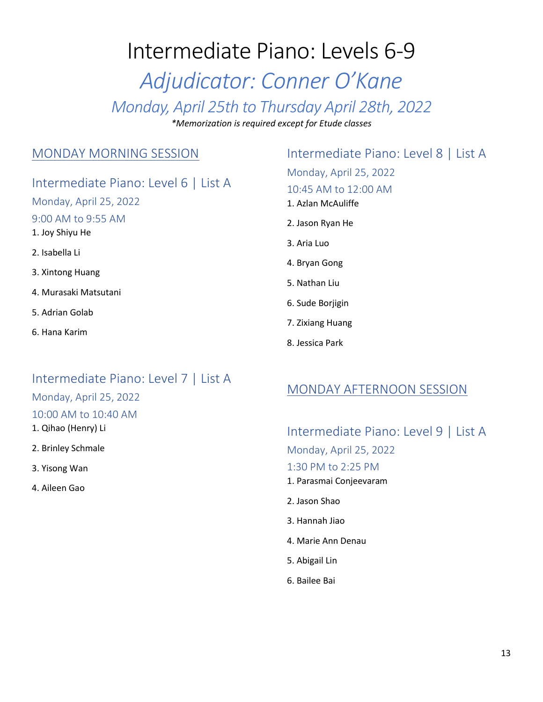# Intermediate Piano: Levels 6-9 *Adjudicator: Conner O'Kane Monday, April 25th to Thursday April 28th, 2022 \*Memorization is required except for Etude classes*

#### MONDAY MORNING SESSION

#### Intermediate Piano: Level 6 | List A

Monday, April 25, 2022 9:00 AM to 9:55 AM 1. Joy Shiyu He 2. Isabella Li 3. Xintong Huang 4. Murasaki Matsutani 5. Adrian Golab

6. Hana Karim

## Intermediate Piano: Level 7 | List A

#### Monday, April 25, 2022

#### 10:00 AM to 10:40 AM

- 1. Qihao (Henry) Li
- 2. Brinley Schmale
- 3. Yisong Wan
- 4. Aileen Gao

#### Intermediate Piano: Level 8 | List A

Monday, April 25, 2022 10:45 AM to 12:00 AM

- 1. Azlan McAuliffe
- 2. Jason Ryan He
- 3. Aria Luo
- 4. Bryan Gong
- 5. Nathan Liu
- 6. Sude Borjigin
- 7. Zixiang Huang
- 8. Jessica Park

#### MONDAY AFTERNOON SESSION

Intermediate Piano: Level 9 | List A Monday, April 25, 2022 1:30 PM to 2:25 PM 1. Parasmai Conjeevaram

- 2. Jason Shao
- 3. Hannah Jiao
- 4. Marie Ann Denau
- 5. Abigail Lin
- 6. Bailee Bai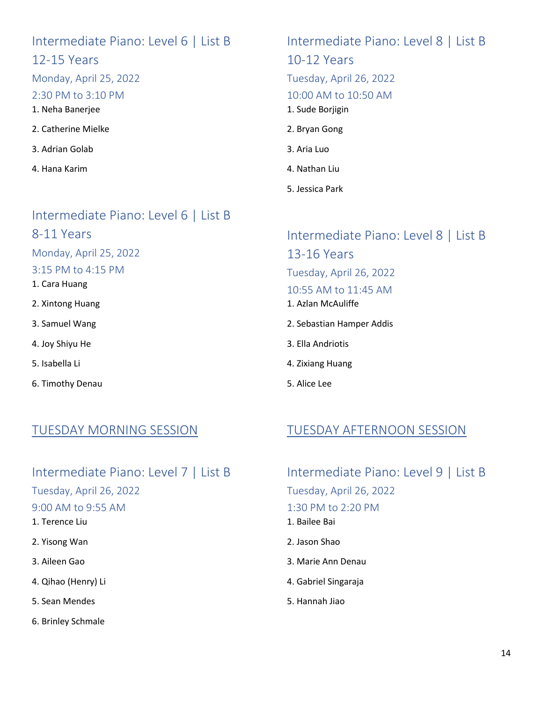## Intermediate Piano: Level 6 | List B 12-15 Years Monday, April 25, 2022 2:30 PM to 3:10 PM 1. Neha Banerjee

- 2. Catherine Mielke
- 3. Adrian Golab
- 4. Hana Karim

Intermediate Piano: Level 6 | List B 8-11 Years Monday, April 25, 2022 3:15 PM to 4:15 PM

- 1. Cara Huang
- 2. Xintong Huang
- 3. Samuel Wang
- 4. Joy Shiyu He
- 5. Isabella Li
- 6. Timothy Denau

# Intermediate Piano: Level 8 | List B

10-12 Years

Tuesday, April 26, 2022

10:00 AM to 10:50 AM

1. Sude Borjigin

- 2. Bryan Gong
- 3. Aria Luo
- 4. Nathan Liu
- 5. Jessica Park

Intermediate Piano: Level 8 | List B 13-16 Years Tuesday, April 26, 2022

- 10:55 AM to 11:45 AM
- 1. Azlan McAuliffe
- 2. Sebastian Hamper Addis
- 3. Ella Andriotis
- 4. Zixiang Huang
- 5. Alice Lee

#### TUESDAY MORNING SESSION

## TUESDAY AFTERNOON SESSION

Intermediate Piano: Level 7 | List B

Tuesday, April 26, 2022

#### 9:00 AM to 9:55 AM

- 1. Terence Liu
- 2. Yisong Wan
- 3. Aileen Gao
- 4. Qihao (Henry) Li
- 5. Sean Mendes
- 6. Brinley Schmale

## Intermediate Piano: Level 9 | List B Tuesday, April 26, 2022 1:30 PM to 2:20 PM 1. Bailee Bai

- 2. Jason Shao
- 3. Marie Ann Denau
- 4. Gabriel Singaraja
- 5. Hannah Jiao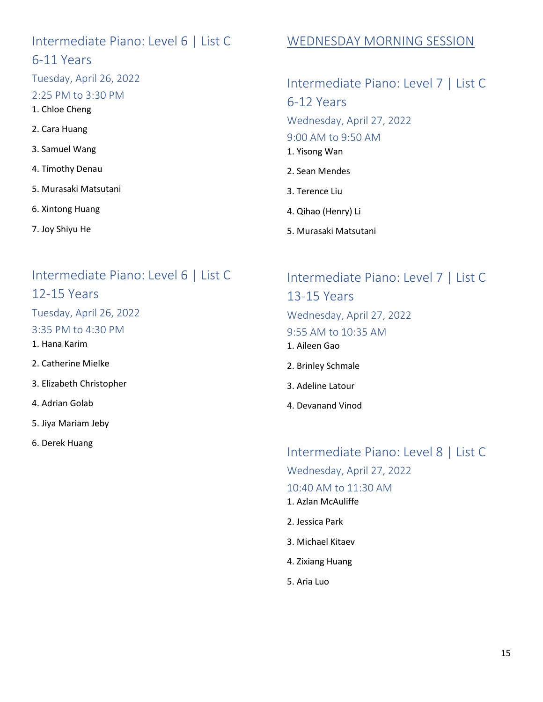#### Intermediate Piano: Level 6 | List C 6-11 Years

Tuesday, April 26, 2022

#### 2:25 PM to 3:30 PM

1. Chloe Cheng

- 2. Cara Huang
- 3. Samuel Wang
- 4. Timothy Denau
- 5. Murasaki Matsutani
- 6. Xintong Huang
- 7. Joy Shiyu He

#### Intermediate Piano: Level 6 | List C 12-15 Years

Tuesday, April 26, 2022

3:35 PM to 4:30 PM

1. Hana Karim

2. Catherine Mielke

- 3. Elizabeth Christopher
- 4. Adrian Golab
- 5. Jiya Mariam Jeby
- 6. Derek Huang

## WEDNESDAY MORNING SESSION

## Intermediate Piano: Level 7 | List C 6-12 Years Wednesday, April 27, 2022 9:00 AM to 9:50 AM 1. Yisong Wan 2. Sean Mendes 3. Terence Liu

- 4. Qihao (Henry) Li
- 5. Murasaki Matsutani

## Intermediate Piano: Level 7 | List C 13-15 Years Wednesday, April 27, 2022 9:55 AM to 10:35 AM 1. Aileen Gao

- 2. Brinley Schmale
- 3. Adeline Latour
- 4. Devanand Vinod

#### Intermediate Piano: Level 8 | List C

Wednesday, April 27, 2022

10:40 AM to 11:30 AM

- 1. Azlan McAuliffe
- 2. Jessica Park
- 3. Michael Kitaev
- 4. Zixiang Huang
- 5. Aria Luo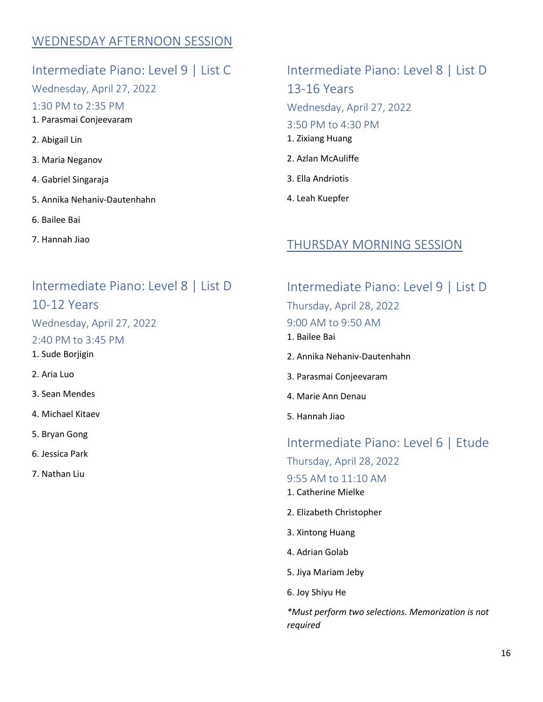#### WEDNESDAY AFTERNOON SESSION

#### Intermediate Piano: Level 9 | List C

Wednesday, April 27, 2022

1:30 PM to 2:35 PM

- 1. Parasmai Conjeevaram
- 2. Abigail Lin
- 3. Maria Neganov
- 4. Gabriel Singaraja
- 5. Annika Nehaniv-Dautenhahn
- 6. Bailee Bai
- 7. Hannah Jiao

#### Intermediate Piano: Level 8 | List D 10-12 Years

Wednesday, April 27, 2022

- 2:40 PM to 3:45 PM
- 1. Sude Borjigin
- 2. Aria Luo
- 3. Sean Mendes
- 4. Michael Kitaev
- 5. Bryan Gong
- 6. Jessica Park
- 7. Nathan Liu

## Intermediate Piano: Level 8 | List D 13-16 Years

Wednesday, April 27, 2022

#### 3:50 PM to 4:30 PM

- 1. Zixiang Huang
- 2. Azlan McAuliffe
- 3. Ella Andriotis
- 4. Leah Kuepfer

#### THURSDAY MORNING SESSION

#### Intermediate Piano: Level 9 | List D Thursday, April 28, 2022 9:00 AM to 9:50 AM

- 1. Bailee Bai
- 2. Annika Nehaniv-Dautenhahn
- 3. Parasmai Conjeevaram
- 4. Marie Ann Denau
- 5. Hannah Jiao

#### Intermediate Piano: Level 6 | Etude

Thursday, April 28, 2022

#### 9:55 AM to 11:10 AM

- 1. Catherine Mielke
- 2. Elizabeth Christopher
- 3. Xintong Huang
- 4. Adrian Golab
- 5. Jiya Mariam Jeby
- 6. Joy Shiyu He

*\*Must perform two selections. Memorization is not required*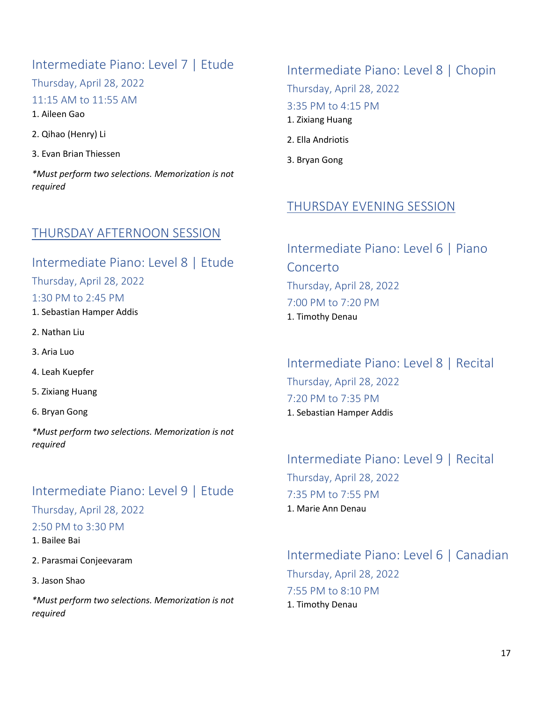#### Intermediate Piano: Level 7 | Etude

Thursday, April 28, 2022

#### 11:15 AM to 11:55 AM

1. Aileen Gao

2. Qihao (Henry) Li

3. Evan Brian Thiessen

*\*Must perform two selections. Memorization is not required*

#### THURSDAY AFTERNOON SESSION

## Intermediate Piano: Level 8 | Etude Thursday, April 28, 2022 1:30 PM to 2:45 PM

1. Sebastian Hamper Addis

- 2. Nathan Liu
- 3. Aria Luo
- 4. Leah Kuepfer
- 5. Zixiang Huang
- 6. Bryan Gong

*\*Must perform two selections. Memorization is not required*

## Intermediate Piano: Level 9 | Etude

#### Thursday, April 28, 2022

#### 2:50 PM to 3:30 PM

- 1. Bailee Bai
- 2. Parasmai Conjeevaram
- 3. Jason Shao

*\*Must perform two selections. Memorization is not required*

## Intermediate Piano: Level 8 | Chopin Thursday, April 28, 2022 3:35 PM to 4:15 PM 1. Zixiang Huang

- 2. Ella Andriotis
- 3. Bryan Gong

#### THURSDAY EVENING SESSION

Intermediate Piano: Level 6 | Piano Concerto Thursday, April 28, 2022 7:00 PM to 7:20 PM 1. Timothy Denau

Intermediate Piano: Level 8 | Recital Thursday, April 28, 2022 7:20 PM to 7:35 PM 1. Sebastian Hamper Addis

#### Intermediate Piano: Level 9 | Recital Thursday, April 28, 2022 7:35 PM to 7:55 PM 1. Marie Ann Denau

#### Intermediate Piano: Level 6 | Canadian Thursday, April 28, 2022 7:55 PM to 8:10 PM 1. Timothy Denau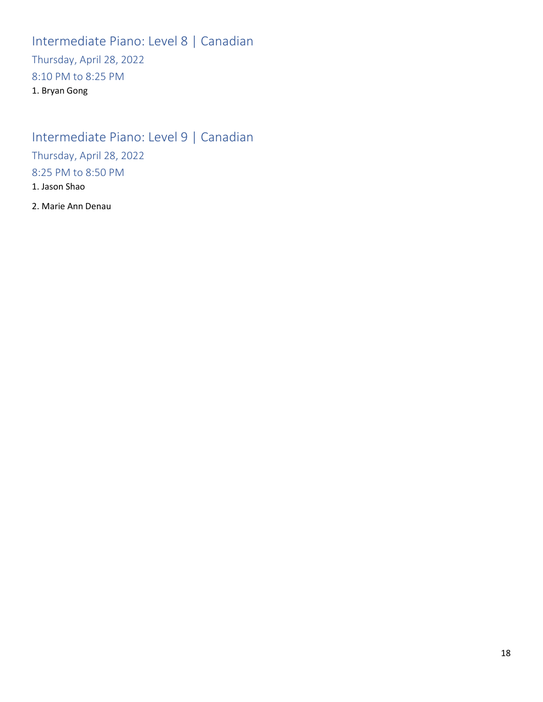Intermediate Piano: Level 8 | Canadian Thursday, April 28, 2022 8:10 PM to 8:25 PM 1. Bryan Gong

Intermediate Piano: Level 9 | Canadian Thursday, April 28, 2022 8:25 PM to 8:50 PM 1. Jason Shao

2. Marie Ann Denau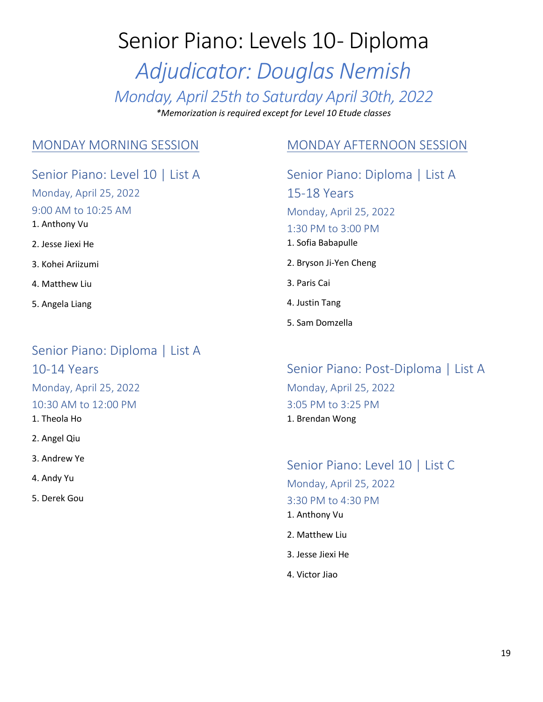# Senior Piano: Levels 10- Diploma

*Adjudicator: Douglas Nemish Monday, April 25th to Saturday April 30th, 2022*

*\*Memorization is required except for Level 10 Etude classes*

#### MONDAY MORNING SESSION

Senior Piano: Level 10 | List A Monday, April 25, 2022 9:00 AM to 10:25 AM 1. Anthony Vu 2. Jesse Jiexi He 3. Kohei Ariizumi 4. Matthew Liu 5. Angela Liang

Senior Piano: Diploma | List A 10-14 Years Monday, April 25, 2022 10:30 AM to 12:00 PM 1. Theola Ho

2. Angel Qiu

3. Andrew Ye

4. Andy Yu

5. Derek Gou

#### MONDAY AFTERNOON SESSION

Senior Piano: Diploma | List A 15-18 Years Monday, April 25, 2022 1:30 PM to 3:00 PM 1. Sofia Babapulle 2. Bryson Ji-Yen Cheng 3. Paris Cai 4. Justin Tang 5. Sam Domzella

Senior Piano: Post-Diploma | List A Monday, April 25, 2022 3:05 PM to 3:25 PM 1. Brendan Wong

Senior Piano: Level 10 | List C Monday, April 25, 2022 3:30 PM to 4:30 PM 1. Anthony Vu 2. Matthew Liu

- 3. Jesse Jiexi He
- 4. Victor Jiao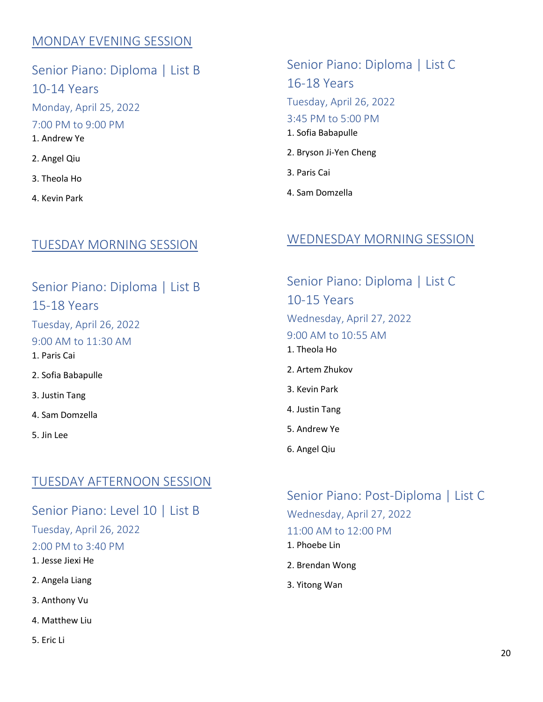#### MONDAY EVENING SESSION

Senior Piano: Diploma | List B 10-14 Years Monday, April 25, 2022 7:00 PM to 9:00 PM 1. Andrew Ye 2. Angel Qiu 3. Theola Ho

4. Kevin Park

#### TUESDAY MORNING SESSION

Senior Piano: Diploma | List B 15-18 Years Tuesday, April 26, 2022 9:00 AM to 11:30 AM 1. Paris Cai 2. Sofia Babapulle 3. Justin Tang 4. Sam Domzella 5. Jin Lee

#### TUESDAY AFTERNOON SESSION

Senior Piano: Level 10 | List B

Tuesday, April 26, 2022

2:00 PM to 3:40 PM

1. Jesse Jiexi He

2. Angela Liang

3. Anthony Vu

4. Matthew Liu

5. Eric Li

Senior Piano: Diploma | List C 16-18 Years Tuesday, April 26, 2022 3:45 PM to 5:00 PM 1. Sofia Babapulle 2. Bryson Ji-Yen Cheng

- 3. Paris Cai
- 4. Sam Domzella

#### WEDNESDAY MORNING SESSION

Senior Piano: Diploma | List C 10-15 Years Wednesday, April 27, 2022 9:00 AM to 10:55 AM 1. Theola Ho 2. Artem Zhukov 3. Kevin Park 4. Justin Tang 5. Andrew Ye 6. Angel Qiu

Senior Piano: Post-Diploma | List C Wednesday, April 27, 2022 11:00 AM to 12:00 PM

- 1. Phoebe Lin
- 2. Brendan Wong
- 3. Yitong Wan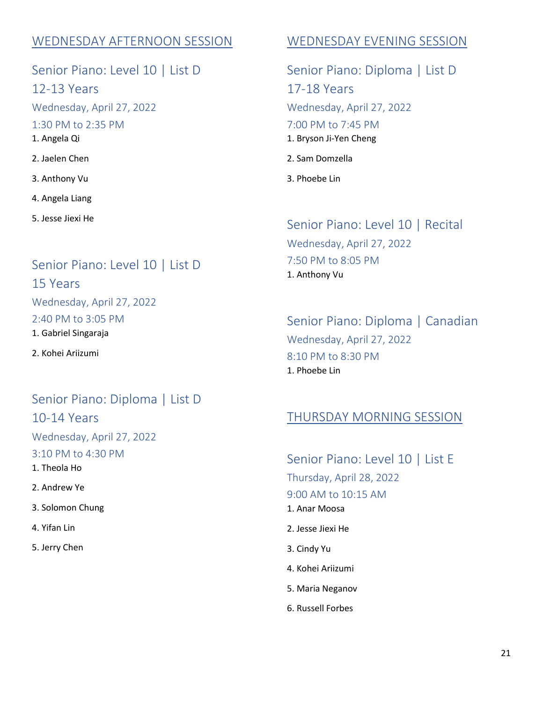#### WEDNESDAY AFTERNOON SESSION

Senior Piano: Level 10 | List D 12-13 Years Wednesday, April 27, 2022 1:30 PM to 2:35 PM 1. Angela Qi 2. Jaelen Chen 3. Anthony Vu 4. Angela Liang

5. Jesse Jiexi He

#### Senior Piano: Level 10 | List D

15 Years Wednesday, April 27, 2022 2:40 PM to 3:05 PM

1. Gabriel Singaraja

2. Kohei Ariizumi

## Senior Piano: Diploma | List D 10-14 Years

Wednesday, April 27, 2022 3:10 PM to 4:30 PM 1. Theola Ho

2. Andrew Ye

3. Solomon Chung

4. Yifan Lin

5. Jerry Chen

#### WEDNESDAY EVENING SESSION

Senior Piano: Diploma | List D 17-18 Years Wednesday, April 27, 2022 7:00 PM to 7:45 PM 1. Bryson Ji-Yen Cheng 2. Sam Domzella

3. Phoebe Lin

#### Senior Piano: Level 10 | Recital

Wednesday, April 27, 2022 7:50 PM to 8:05 PM 1. Anthony Vu

#### Senior Piano: Diploma | Canadian Wednesday, April 27, 2022 8:10 PM to 8:30 PM 1. Phoebe Lin

#### THURSDAY MORNING SESSION

Senior Piano: Level 10 | List E Thursday, April 28, 2022 9:00 AM to 10:15 AM 1. Anar Moosa 2. Jesse Jiexi He

- 3. Cindy Yu
- 4. Kohei Ariizumi
- 5. Maria Neganov
- 6. Russell Forbes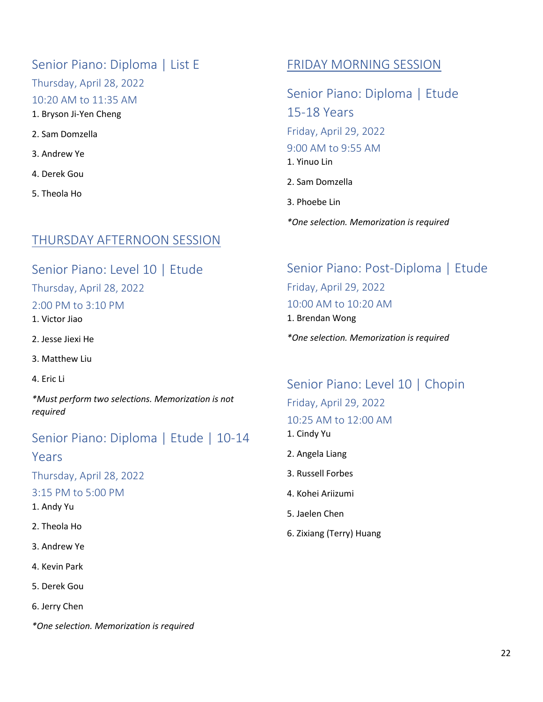#### Senior Piano: Diploma | List E

Thursday, April 28, 2022

10:20 AM to 11:35 AM

1. Bryson Ji-Yen Cheng

- 2. Sam Domzella
- 3. Andrew Ye
- 4. Derek Gou
- 5. Theola Ho

### THURSDAY AFTERNOON SESSION

Senior Piano: Level 10 | Etude

Thursday, April 28, 2022

#### 2:00 PM to 3:10 PM

1. Victor Jiao

- 2. Jesse Jiexi He
- 3. Matthew Liu
- 4. Eric Li

*\*Must perform two selections. Memorization is not required*

## Senior Piano: Diploma | Etude | 10-14

#### Years

Thursday, April 28, 2022

3:15 PM to 5:00 PM

- 1. Andy Yu
- 2. Theola Ho
- 3. Andrew Ye
- 4. Kevin Park
- 5. Derek Gou
- 6. Jerry Chen

*\*One selection. Memorization is required*

#### FRIDAY MORNING SESSION

Senior Piano: Diploma | Etude 15-18 Years Friday, April 29, 2022 9:00 AM to 9:55 AM 1. Yinuo Lin 2. Sam Domzella 3. Phoebe Lin

*\*One selection. Memorization is required*

## Senior Piano: Post-Diploma | Etude Friday, April 29, 2022 10:00 AM to 10:20 AM 1. Brendan Wong

*\*One selection. Memorization is required*

Senior Piano: Level 10 | Chopin Friday, April 29, 2022 10:25 AM to 12:00 AM 1. Cindy Yu

- 2. Angela Liang
- 3. Russell Forbes
- 4. Kohei Ariizumi
- 5. Jaelen Chen
- 6. Zixiang (Terry) Huang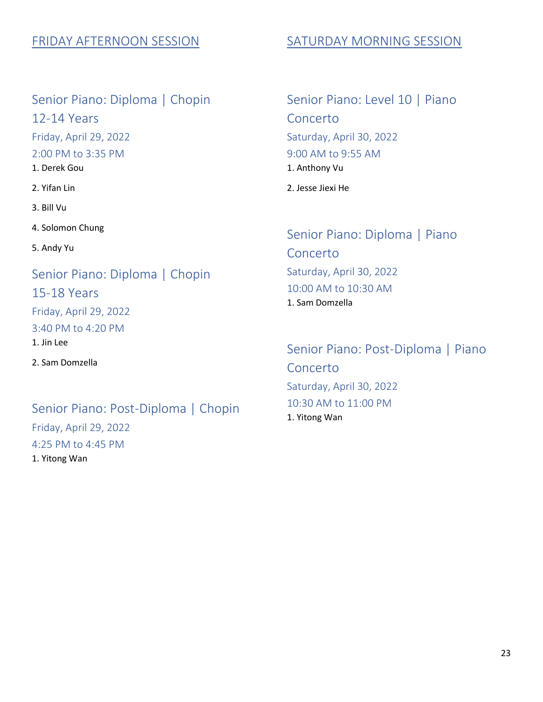#### FRIDAY AFTERNOON SESSION

Senior Piano: Diploma | Chopin 12-14 Years Friday, April 29, 2022 2:00 PM to 3:35 PM 1. Derek Gou

2. Yifan Lin

3. Bill Vu

4. Solomon Chung

5. Andy Yu

Senior Piano: Diploma | Chopin 15-18 Years Friday, April 29, 2022 3:40 PM to 4:20 PM 1. Jin Lee 2. Sam Domzella

Senior Piano: Post-Diploma | Chopin Friday, April 29, 2022 4:25 PM to 4:45 PM 1. Yitong Wan

#### SATURDAY MORNING SESSION

Senior Piano: Level 10 | Piano Concerto Saturday, April 30, 2022 9:00 AM to 9:55 AM 1. Anthony Vu 2. Jesse Jiexi He

Senior Piano: Diploma | Piano Concerto Saturday, April 30, 2022 10:00 AM to 10:30 AM 1. Sam Domzella

Senior Piano: Post-Diploma | Piano Concerto Saturday, April 30, 2022 10:30 AM to 11:00 PM 1. Yitong Wan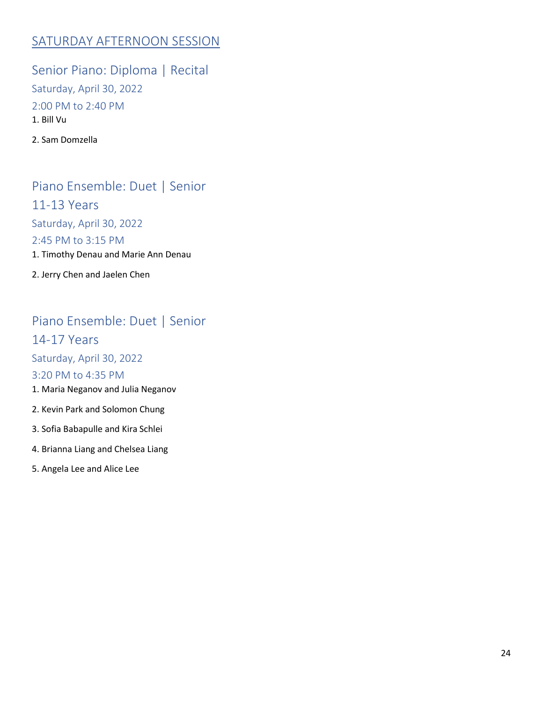#### SATURDAY AFTERNOON SESSION

Senior Piano: Diploma | Recital Saturday, April 30, 2022 2:00 PM to 2:40 PM 1. Bill Vu

2. Sam Domzella

Piano Ensemble: Duet | Senior 11-13 Years Saturday, April 30, 2022 2:45 PM to 3:15 PM 1. Timothy Denau and Marie Ann Denau 2. Jerry Chen and Jaelen Chen

## Piano Ensemble: Duet | Senior

14-17 Years

Saturday, April 30, 2022

#### 3:20 PM to 4:35 PM

- 1. Maria Neganov and Julia Neganov
- 2. Kevin Park and Solomon Chung
- 3. Sofia Babapulle and Kira Schlei
- 4. Brianna Liang and Chelsea Liang
- 5. Angela Lee and Alice Lee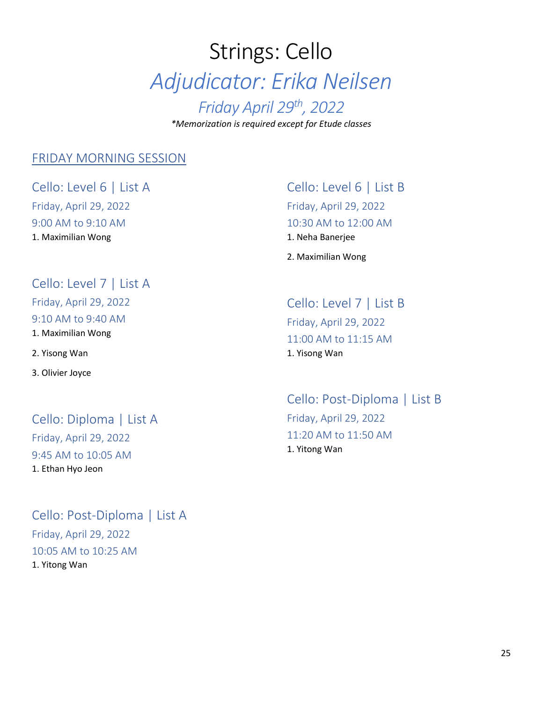# Strings: Cello *Adjudicator: Erika Neilsen Friday April 29th , 2022 \*Memorization is required except for Etude classes*

#### FRIDAY MORNING SESSION

Cello: Level 6 | List A Friday, April 29, 2022 9:00 AM to 9:10 AM 1. Maximilian Wong

Cello: Level 7 | List A

Friday, April 29, 2022

9:10 AM to 9:40 AM 1. Maximilian Wong

2. Yisong Wan

3. Olivier Joyce

Cello: Diploma | List A Friday, April 29, 2022 9:45 AM to 10:05 AM 1. Ethan Hyo Jeon

Cello: Post-Diploma | List A Friday, April 29, 2022 10:05 AM to 10:25 AM 1. Yitong Wan

Cello: Level 6 | List B Friday, April 29, 2022 10:30 AM to 12:00 AM 1. Neha Banerjee

2. Maximilian Wong

Cello: Level 7 | List B Friday, April 29, 2022 11:00 AM to 11:15 AM 1. Yisong Wan

Cello: Post-Diploma | List B Friday, April 29, 2022 11:20 AM to 11:50 AM 1. Yitong Wan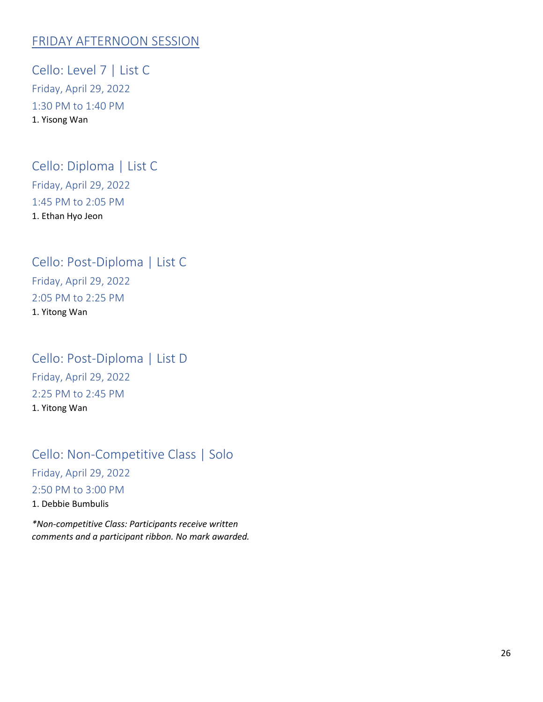#### FRIDAY AFTERNOON SESSION

Cello: Level 7 | List C Friday, April 29, 2022 1:30 PM to 1:40 PM 1. Yisong Wan

#### Cello: Diploma | List C Friday, April 29, 2022 1:45 PM to 2:05 PM 1. Ethan Hyo Jeon

Cello: Post-Diploma | List C Friday, April 29, 2022 2:05 PM to 2:25 PM 1. Yitong Wan

Cello: Post-Diploma | List D Friday, April 29, 2022 2:25 PM to 2:45 PM 1. Yitong Wan

## Cello: Non-Competitive Class | Solo Friday, April 29, 2022 2:50 PM to 3:00 PM 1. Debbie Bumbulis

*\*Non-competitive Class: Participants receive written comments and a participant ribbon. No mark awarded.*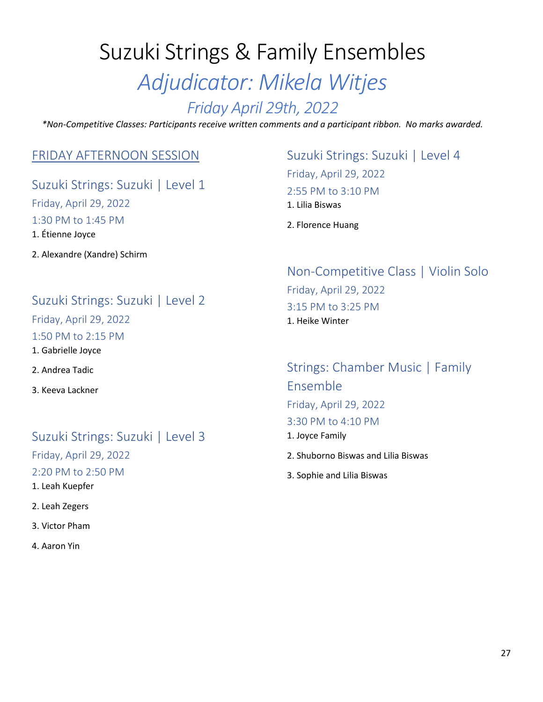# Suzuki Strings & Family Ensembles *Adjudicator: Mikela Witjes*

## *Friday April 29th, 2022*

*\*Non-Competitive Classes: Participants receive written comments and a participant ribbon. No marks awarded.*

#### FRIDAY AFTERNOON SESSION

## Suzuki Strings: Suzuki | Level 1 Friday, April 29, 2022 1:30 PM to 1:45 PM 1. Étienne Joyce

2. Alexandre (Xandre) Schirm

#### Suzuki Strings: Suzuki | Level 2

Friday, April 29, 2022

1:50 PM to 2:15 PM

1. Gabrielle Joyce

2. Andrea Tadic

3. Keeva Lackner

#### Suzuki Strings: Suzuki | Level 3

Friday, April 29, 2022

2:20 PM to 2:50 PM

1. Leah Kuepfer

2. Leah Zegers

3. Victor Pham

4. Aaron Yin

## Suzuki Strings: Suzuki | Level 4 Friday, April 29, 2022 2:55 PM to 3:10 PM 1. Lilia Biswas

2. Florence Huang

#### Non-Competitive Class | Violin Solo Friday, April 29, 2022 3:15 PM to 3:25 PM 1. Heike Winter

Strings: Chamber Music | Family Ensemble Friday, April 29, 2022 3:30 PM to 4:10 PM 1. Joyce Family

2. Shuborno Biswas and Lilia Biswas

3. Sophie and Lilia Biswas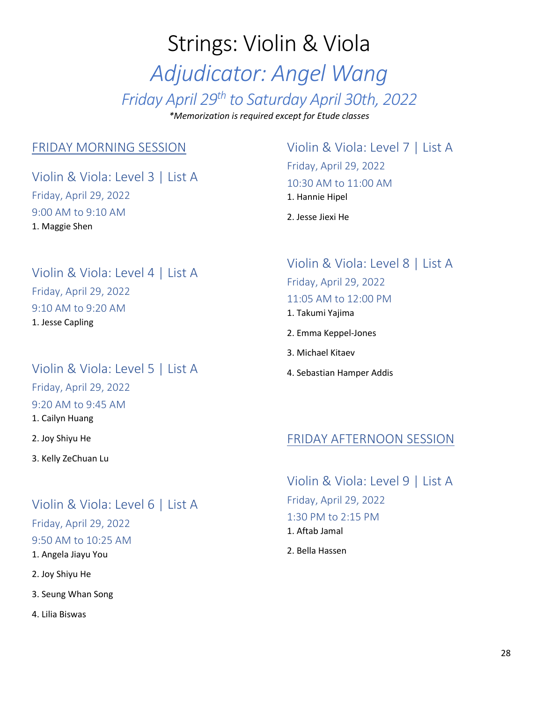# Strings: Violin & Viola *Adjudicator: Angel Wang Friday April 29th to Saturday April 30th, 2022 \*Memorization is required except for Etude classes*

#### FRIDAY MORNING SESSION

Violin & Viola: Level 3 | List A Friday, April 29, 2022 9:00 AM to 9:10 AM 1. Maggie Shen

#### Violin & Viola: Level 4 | List A Friday, April 29, 2022 9:10 AM to 9:20 AM 1. Jesse Capling

#### Violin & Viola: Level 5 | List A

Friday, April 29, 2022 9:20 AM to 9:45 AM 1. Cailyn Huang

2. Joy Shiyu He

3. Kelly ZeChuan Lu

#### Violin & Viola: Level 6 | List A

Friday, April 29, 2022 9:50 AM to 10:25 AM

1. Angela Jiayu You

- 2. Joy Shiyu He
- 3. Seung Whan Song

4. Lilia Biswas

#### Violin & Viola: Level 7 | List A Friday, April 29, 2022 10:30 AM to 11:00 AM 1. Hannie Hipel

2. Jesse Jiexi He

## Violin & Viola: Level 8 | List A Friday, April 29, 2022

#### 11:05 AM to 12:00 PM

- 1. Takumi Yajima
- 2. Emma Keppel-Jones
- 3. Michael Kitaev
- 4. Sebastian Hamper Addis

#### FRIDAY AFTERNOON SESSION

Violin & Viola: Level 9 | List A Friday, April 29, 2022 1:30 PM to 2:15 PM 1. Aftab Jamal

2. Bella Hassen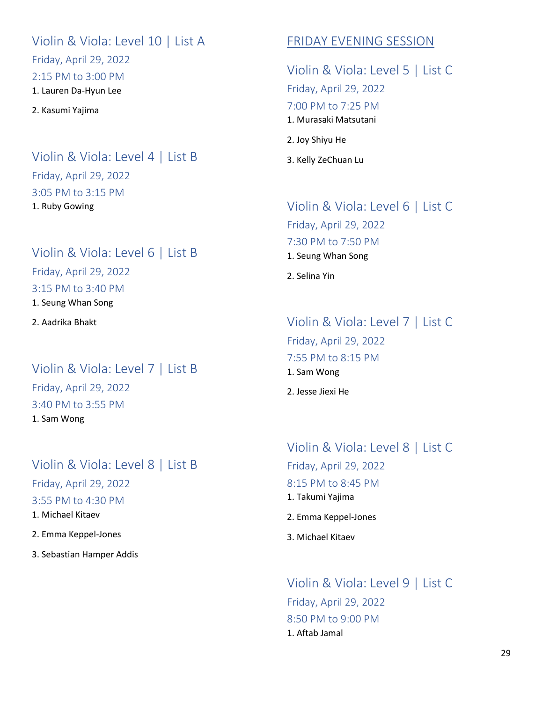Violin & Viola: Level 10 | List A Friday, April 29, 2022

2:15 PM to 3:00 PM

1. Lauren Da-Hyun Lee

2. Kasumi Yajima

#### Violin & Viola: Level 4 | List B Friday, April 29, 2022 3:05 PM to 3:15 PM 1. Ruby Gowing

#### Violin & Viola: Level 6 | List B

Friday, April 29, 2022

3:15 PM to 3:40 PM

1. Seung Whan Song

2. Aadrika Bhakt

## Violin & Viola: Level 7 | List B Friday, April 29, 2022 3:40 PM to 3:55 PM 1. Sam Wong

## Violin & Viola: Level 8 | List B Friday, April 29, 2022 3:55 PM to 4:30 PM

1. Michael Kitaev

2. Emma Keppel-Jones

3. Sebastian Hamper Addis

### FRIDAY EVENING SESSION

Violin & Viola: Level 5 | List C Friday, April 29, 2022 7:00 PM to 7:25 PM 1. Murasaki Matsutani 2. Joy Shiyu He

3. Kelly ZeChuan Lu

## Violin & Viola: Level 6 | List C Friday, April 29, 2022 7:30 PM to 7:50 PM 1. Seung Whan Song

2. Selina Yin

## Violin & Viola: Level 7 | List C Friday, April 29, 2022

7:55 PM to 8:15 PM

1. Sam Wong

2. Jesse Jiexi He

## Violin & Viola: Level 8 | List C Friday, April 29, 2022 8:15 PM to 8:45 PM 1. Takumi Yajima

- 2. Emma Keppel-Jones
- 3. Michael Kitaev

Violin & Viola: Level 9 | List C Friday, April 29, 2022 8:50 PM to 9:00 PM 1. Aftab Jamal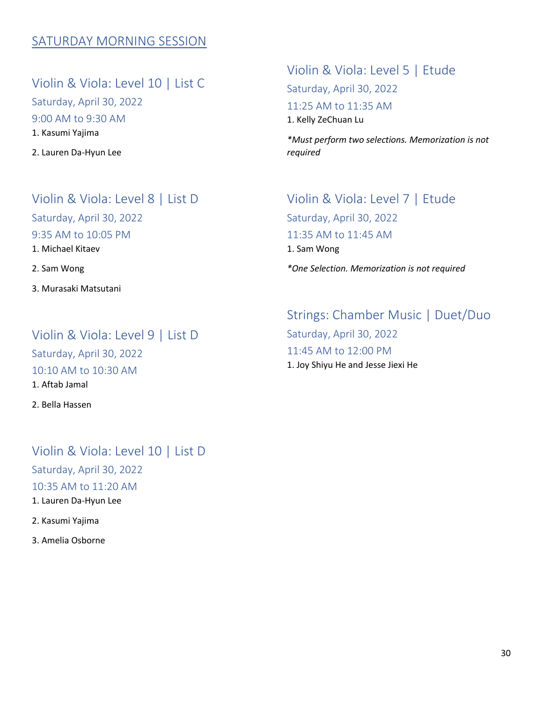#### SATURDAY MORNING SESSION

Violin & Viola: Level 10 | List C Saturday, April 30, 2022 9:00 AM to 9:30 AM 1. Kasumi Yajima

2. Lauren Da-Hyun Lee

#### Violin & Viola: Level 8 | List D

Saturday, April 30, 2022

9:35 AM to 10:05 PM

1. Michael Kitaev

2. Sam Wong

3. Murasaki Matsutani

#### Violin & Viola: Level 9 | List D

Saturday, April 30, 2022 10:10 AM to 10:30 AM 1. Aftab Jamal

2. Bella Hassen

#### Violin & Viola: Level 10 | List D Saturday, April 30, 2022 10:35 AM to 11:20 AM 1. Lauren Da-Hyun Lee

2. Kasumi Yajima

3. Amelia Osborne

Violin & Viola: Level 5 | Etude Saturday, April 30, 2022 11:25 AM to 11:35 AM 1. Kelly ZeChuan Lu

*\*Must perform two selections. Memorization is not required*

Violin & Viola: Level 7 | Etude Saturday, April 30, 2022 11:35 AM to 11:45 AM 1. Sam Wong *\*One Selection. Memorization is not required*

Strings: Chamber Music | Duet/Duo Saturday, April 30, 2022 11:45 AM to 12:00 PM 1. Joy Shiyu He and Jesse Jiexi He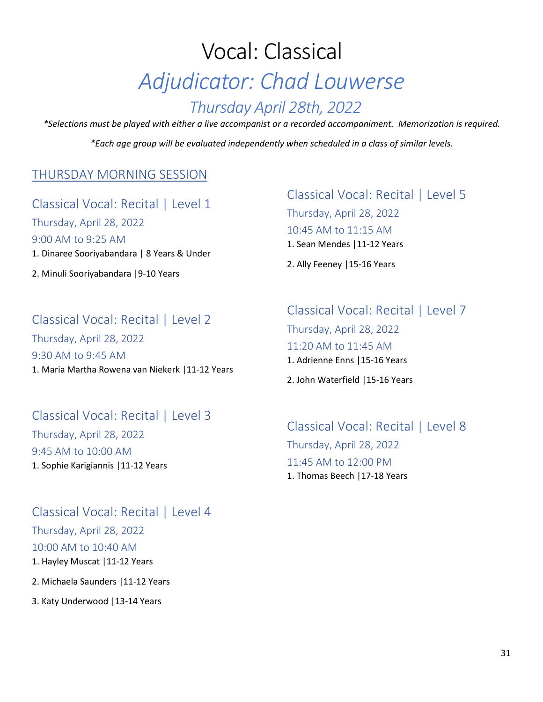# Vocal: Classical *Adjudicator: Chad Louwerse Thursday April 28th, 2022*

*\*Selections must be played with either a live accompanist or a recorded accompaniment. Memorization is required. \*Each age group will be evaluated independently when scheduled in a class of similar levels.*

#### THURSDAY MORNING SESSION

Classical Vocal: Recital | Level 1 Thursday, April 28, 2022 9:00 AM to 9:25 AM 1. Dinaree Sooriyabandara | 8 Years & Under

2. Minuli Sooriyabandara |9-10 Years

#### Classical Vocal: Recital | Level 5

Thursday, April 28, 2022 10:45 AM to 11:15 AM 1. Sean Mendes |11-12 Years

2. Ally Feeney |15-16 Years

#### Classical Vocal: Recital | Level 2

Thursday, April 28, 2022 9:30 AM to 9:45 AM 1. Maria Martha Rowena van Niekerk |11-12 Years

Classical Vocal: Recital | Level 3 Thursday, April 28, 2022 9:45 AM to 10:00 AM 1. Sophie Karigiannis |11-12 Years

#### Classical Vocal: Recital | Level 4

Thursday, April 28, 2022 10:00 AM to 10:40 AM 1. Hayley Muscat |11-12 Years

2. Michaela Saunders |11-12 Years

3. Katy Underwood |13-14 Years

Classical Vocal: Recital | Level 7

Thursday, April 28, 2022 11:20 AM to 11:45 AM 1. Adrienne Enns |15-16 Years

2. John Waterfield |15-16 Years

#### Classical Vocal: Recital | Level 8 Thursday, April 28, 2022 11:45 AM to 12:00 PM 1. Thomas Beech |17-18 Years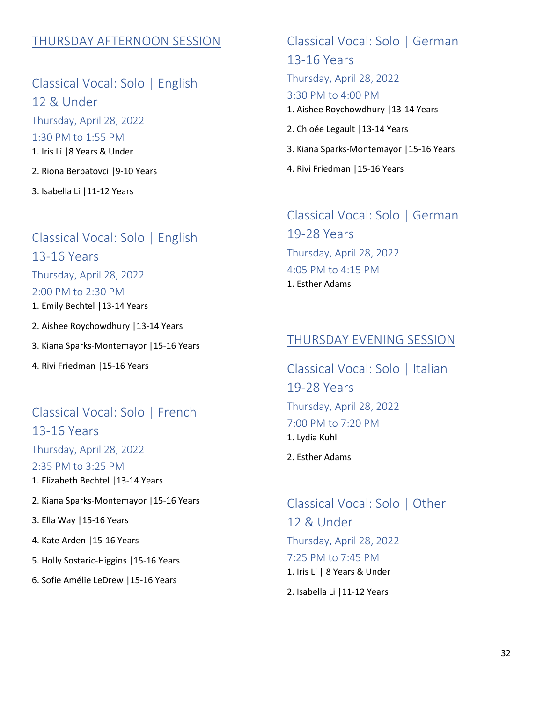#### THURSDAY AFTERNOON SESSION

Classical Vocal: Solo | English 12 & Under Thursday, April 28, 2022 1:30 PM to 1:55 PM 1. Iris Li |8 Years & Under 2. Riona Berbatovci |9-10 Years

3. Isabella Li |11-12 Years

## Classical Vocal: Solo | English 13-16 Years Thursday, April 28, 2022 2:00 PM to 2:30 PM 1. Emily Bechtel |13-14 Years

2. Aishee Roychowdhury |13-14 Years

3. Kiana Sparks-Montemayor |15-16 Years

4. Rivi Friedman |15-16 Years

#### Classical Vocal: Solo | French

13-16 Years Thursday, April 28, 2022 2:35 PM to 3:25 PM 1. Elizabeth Bechtel |13-14 Years

2. Kiana Sparks-Montemayor |15-16 Years

3. Ella Way |15-16 Years

4. Kate Arden |15-16 Years

5. Holly Sostaric-Higgins |15-16 Years

6. Sofie Amélie LeDrew |15-16 Years

# Classical Vocal: Solo | German

13-16 Years

Thursday, April 28, 2022

#### 3:30 PM to 4:00 PM

- 1. Aishee Roychowdhury |13-14 Years
- 2. Chloée Legault |13-14 Years
- 3. Kiana Sparks-Montemayor |15-16 Years
- 4. Rivi Friedman |15-16 Years

## Classical Vocal: Solo | German 19-28 Years Thursday, April 28, 2022 4:05 PM to 4:15 PM 1. Esther Adams

#### THURSDAY EVENING SESSION

Classical Vocal: Solo | Italian 19-28 Years Thursday, April 28, 2022 7:00 PM to 7:20 PM 1. Lydia Kuhl 2. Esther Adams

Classical Vocal: Solo | Other 12 & Under Thursday, April 28, 2022 7:25 PM to 7:45 PM 1. Iris Li | 8 Years & Under

2. Isabella Li |11-12 Years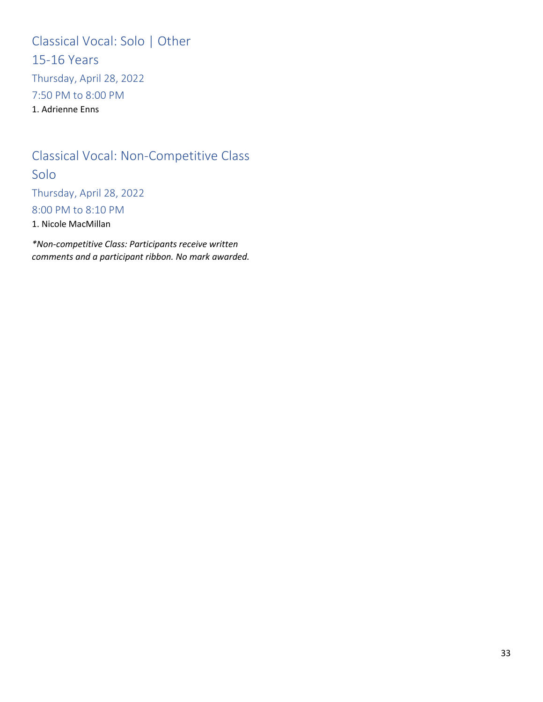Classical Vocal: Solo | Other 15-16 Years Thursday, April 28, 2022 7:50 PM to 8:00 PM 1. Adrienne Enns

## Classical Vocal: Non-Competitive Class Solo

Thursday, April 28, 2022 8:00 PM to 8:10 PM

1. Nicole MacMillan

*\*Non-competitive Class: Participants receive written comments and a participant ribbon. No mark awarded.*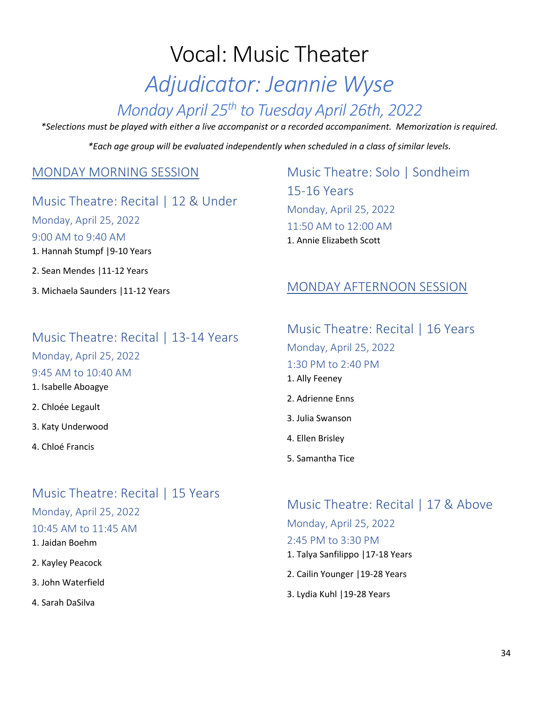# Vocal: Music Theater

# *Adjudicator: Jeannie Wyse*

## *Monday April 25th to Tuesday April 26th, 2022*

*\*Selections must be played with either a live accompanist or a recorded accompaniment. Memorization is required.*

*\*Each age group will be evaluated independently when scheduled in a class of similar levels.*

#### MONDAY MORNING SESSION

Music Theatre: Recital | 12 & Under

Monday, April 25, 2022 9:00 AM to 9:40 AM

1. Hannah Stumpf |9-10 Years

- 2. Sean Mendes |11-12 Years
- 3. Michaela Saunders |11-12 Years

## Music Theatre: Solo | Sondheim 15-16 Years Monday, April 25, 2022 11:50 AM to 12:00 AM 1. Annie Elizabeth Scott

#### MONDAY AFTERNOON SESSION

#### Music Theatre: Recital | 13-14 Years

Monday, April 25, 2022

#### 9:45 AM to 10:40 AM

- 1. Isabelle Aboagye
- 2. Chloée Legault
- 3. Katy Underwood
- 4. Chloé Francis

#### Music Theatre: Recital | 15 Years

Monday, April 25, 2022 10:45 AM to 11:45 AM

1. Jaidan Boehm

- 2. Kayley Peacock
- 3. John Waterfield
- 4. Sarah DaSilva

Music Theatre: Recital | 16 Years Monday, April 25, 2022 1:30 PM to 2:40 PM 1. Ally Feeney 2. Adrienne Enns 3. Julia Swanson

- 4. Ellen Brisley
- 5. Samantha Tice

Music Theatre: Recital | 17 & Above Monday, April 25, 2022 2:45 PM to 3:30 PM 1. Talya Sanfilippo |17-18 Years

- 2. Cailin Younger |19-28 Years
- 3. Lydia Kuhl |19-28 Years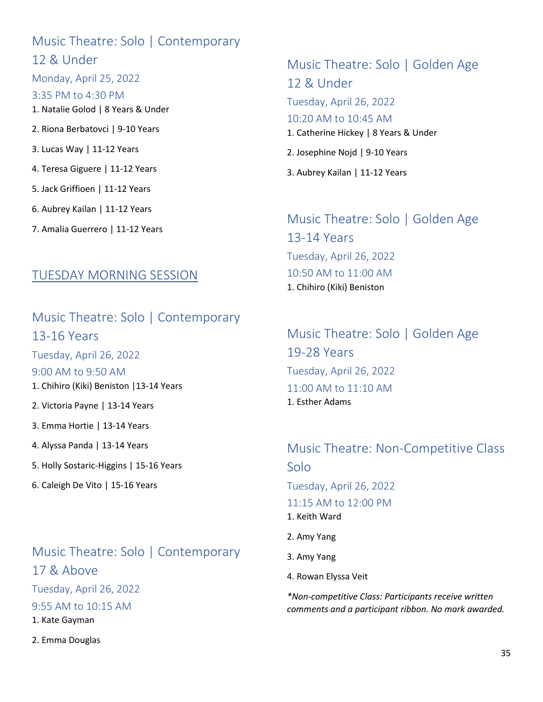## Music Theatre: Solo | Contemporary 12 & Under Monday, April 25, 2022 3:35 PM to 4:30 PM 1. Natalie Golod | 8 Years & Under 2. Riona Berbatovci | 9-10 Years 3. Lucas Way | 11-12 Years 4. Teresa Giguere | 11-12 Years 5. Jack Griffioen | 11-12 Years 6. Aubrey Kailan | 11-12 Years

7. Amalia Guerrero | 11-12 Years

## Music Theatre: Solo | Golden Age 12 & Under Tuesday, April 26, 2022 10:20 AM to 10:45 AM 1. Catherine Hickey | 8 Years & Under 2. Josephine Nojd | 9-10 Years

3. Aubrey Kailan | 11-12 Years

#### Music Theatre: Solo | Golden Age 13-14 Years Tuesday, April 26, 2022 10:50 AM to 11:00 AM 1. Chihiro (Kiki) Beniston

#### TUESDAY MORNING SESSION

Music Theatre: Solo | Contemporary 13-16 Years Tuesday, April 26, 2022 9:00 AM to 9:50 AM 1. Chihiro (Kiki) Beniston |13-14 Years 2. Victoria Payne | 13-14 Years 3. Emma Hortie | 13-14 Years 4. Alyssa Panda | 13-14 Years 5. Holly Sostaric-Higgins | 15-16 Years

6. Caleigh De Vito | 15-16 Years

## Music Theatre: Solo | Contemporary 17 & Above Tuesday, April 26, 2022 9:55 AM to 10:15 AM 1. Kate Gayman

2. Emma Douglas

Music Theatre: Solo | Golden Age 19-28 Years Tuesday, April 26, 2022 11:00 AM to 11:10 AM 1. Esther Adams

Music Theatre: Non-Competitive Class Solo Tuesday, April 26, 2022 11:15 AM to 12:00 PM 1. Keith Ward 2. Amy Yang

- 3. Amy Yang
- 4. Rowan Elyssa Veit

*\*Non-competitive Class: Participants receive written comments and a participant ribbon. No mark awarded.*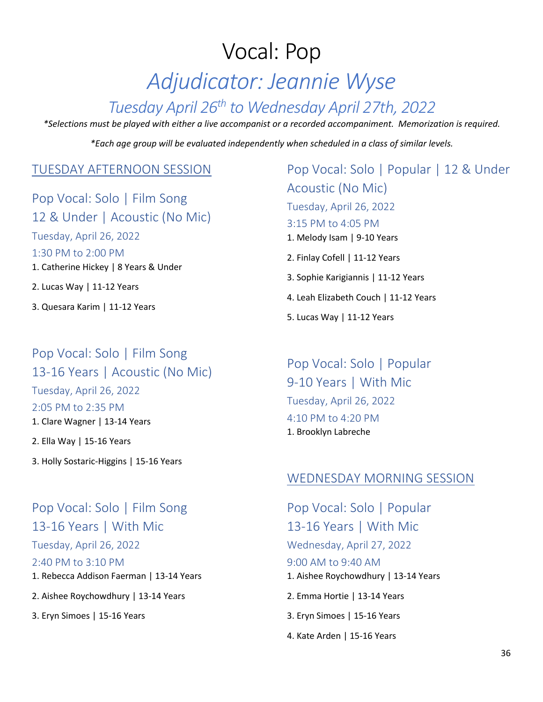# Vocal: Pop *Adjudicator: Jeannie Wyse*

## *Tuesday April 26th to Wednesday April 27th, 2022*

*\*Selections must be played with either a live accompanist or a recorded accompaniment. Memorization is required.*

*\*Each age group will be evaluated independently when scheduled in a class of similar levels.*

#### TUESDAY AFTERNOON SESSION

Pop Vocal: Solo | Film Song 12 & Under | Acoustic (No Mic) Tuesday, April 26, 2022 1:30 PM to 2:00 PM 1. Catherine Hickey | 8 Years & Under 2. Lucas Way | 11-12 Years 3. Quesara Karim | 11-12 Years

## Pop Vocal: Solo | Film Song 13-16 Years | Acoustic (No Mic) Tuesday, April 26, 2022 2:05 PM to 2:35 PM 1. Clare Wagner | 13-14 Years 2. Ella Way | 15-16 Years

3. Holly Sostaric-Higgins | 15-16 Years

## Pop Vocal: Solo | Film Song 13-16 Years | With Mic

Tuesday, April 26, 2022 2:40 PM to 3:10 PM 1. Rebecca Addison Faerman | 13-14 Years

2. Aishee Roychowdhury | 13-14 Years

3. Eryn Simoes | 15-16 Years

Pop Vocal: Solo | Popular | 12 & Under Acoustic (No Mic) Tuesday, April 26, 2022 3:15 PM to 4:05 PM 1. Melody Isam | 9-10 Years 2. Finlay Cofell | 11-12 Years 3. Sophie Karigiannis | 11-12 Years 4. Leah Elizabeth Couch | 11-12 Years 5. Lucas Way | 11-12 Years

Pop Vocal: Solo | Popular 9-10 Years | With Mic Tuesday, April 26, 2022 4:10 PM to 4:20 PM 1. Brooklyn Labreche

#### WEDNESDAY MORNING SESSION

Pop Vocal: Solo | Popular 13-16 Years | With Mic Wednesday, April 27, 2022 9:00 AM to 9:40 AM 1. Aishee Roychowdhury | 13-14 Years 2. Emma Hortie | 13-14 Years 3. Eryn Simoes | 15-16 Years 4. Kate Arden | 15-16 Years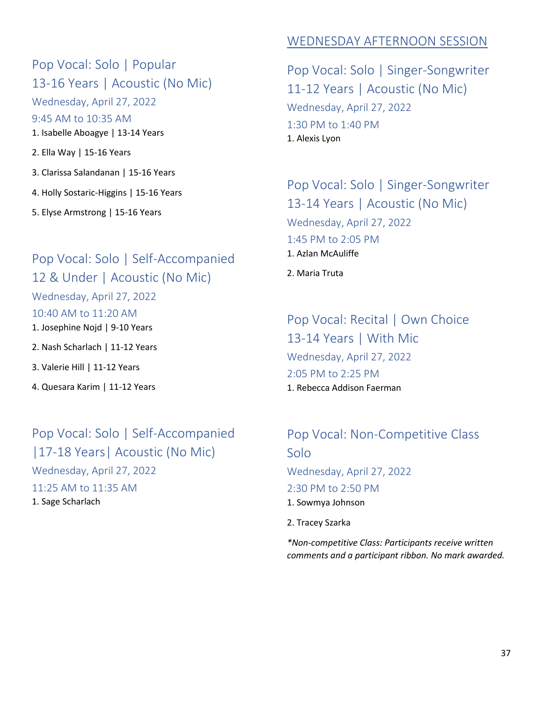## Pop Vocal: Solo | Popular 13-16 Years | Acoustic (No Mic)

Wednesday, April 27, 2022 9:45 AM to 10:35 AM 1. Isabelle Aboagye | 13-14 Years

2. Ella Way | 15-16 Years

3. Clarissa Salandanan | 15-16 Years

4. Holly Sostaric-Higgins | 15-16 Years

5. Elyse Armstrong | 15-16 Years

# Pop Vocal: Solo | Self-Accompanied 12 & Under | Acoustic (No Mic)

#### Wednesday, April 27, 2022

10:40 AM to 11:20 AM

1. Josephine Nojd | 9-10 Years

2. Nash Scharlach | 11-12 Years

3. Valerie Hill | 11-12 Years

4. Quesara Karim | 11-12 Years

## Pop Vocal: Solo | Self-Accompanied |17-18 Years| Acoustic (No Mic)

Wednesday, April 27, 2022 11:25 AM to 11:35 AM 1. Sage Scharlach

## WEDNESDAY AFTERNOON SESSION

Pop Vocal: Solo | Singer-Songwriter 11-12 Years | Acoustic (No Mic) Wednesday, April 27, 2022 1:30 PM to 1:40 PM 1. Alexis Lyon

Pop Vocal: Solo | Singer-Songwriter 13-14 Years | Acoustic (No Mic) Wednesday, April 27, 2022 1:45 PM to 2:05 PM 1. Azlan McAuliffe 2. Maria Truta

Pop Vocal: Recital | Own Choice 13-14 Years | With Mic Wednesday, April 27, 2022 2:05 PM to 2:25 PM 1. Rebecca Addison Faerman

Pop Vocal: Non-Competitive Class Solo Wednesday, April 27, 2022 2:30 PM to 2:50 PM 1. Sowmya Johnson 2. Tracey Szarka

*\*Non-competitive Class: Participants receive written comments and a participant ribbon. No mark awarded.*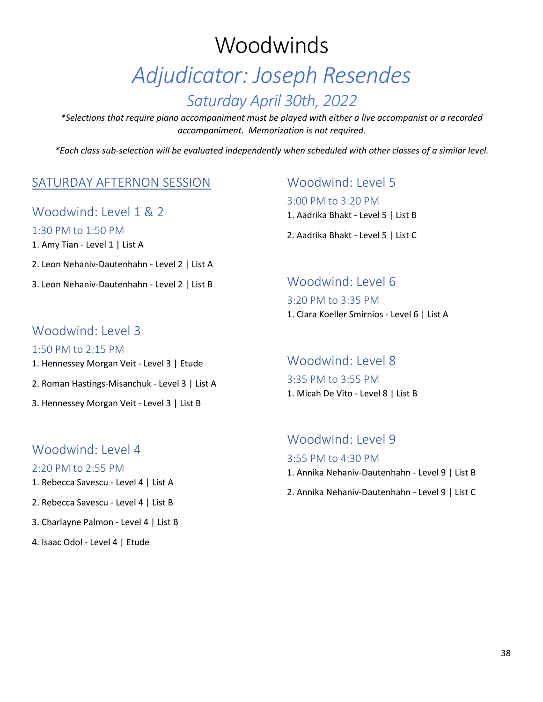# **Woodwinds** *Adjudicator: Joseph Resendes Saturday April 30th, 2022*

*\*Selections that require piano accompaniment must be played with either a live accompanist or a recorded accompaniment. Memorization is not required.*

*\*Each class sub-selection will be evaluated independently when scheduled with other classes of a similar level.*

#### SATURDAY AFTERNON SESSION

Woodwind: Level 1 & 2

1:30 PM to 1:50 PM

1. Amy Tian - Level 1 | List A

2. Leon Nehaniv-Dautenhahn - Level 2 | List A

3. Leon Nehaniv-Dautenhahn - Level 2 | List B

#### Woodwind: Level 3

1:50 PM to 2:15 PM

- 1. Hennessey Morgan Veit Level 3 | Etude
- 2. Roman Hastings-Misanchuk Level 3 | List A
- 3. Hennessey Morgan Veit Level 3 | List B

#### Woodwind: Level 4

#### 2:20 PM to 2:55 PM

- 1. Rebecca Savescu Level 4 | List A
- 2. Rebecca Savescu Level 4 | List B
- 3. Charlayne Palmon Level 4 | List B
- 4. Isaac Odol Level 4 | Etude

#### Woodwind: Level 5

#### 3:00 PM to 3:20 PM

- 1. Aadrika Bhakt Level 5 | List B
- 2. Aadrika Bhakt Level 5 | List C

#### Woodwind: Level 6 3:20 PM to 3:35 PM

1. Clara Koeller Smirnios - Level 6 | List A

#### Woodwind: Level 8

3:35 PM to 3:55 PM 1. Micah De Vito - Level 8 | List B

#### Woodwind: Level 9

#### 3:55 PM to 4:30 PM

- 1. Annika Nehaniv-Dautenhahn Level 9 | List B
- 2. Annika Nehaniv-Dautenhahn Level 9 | List C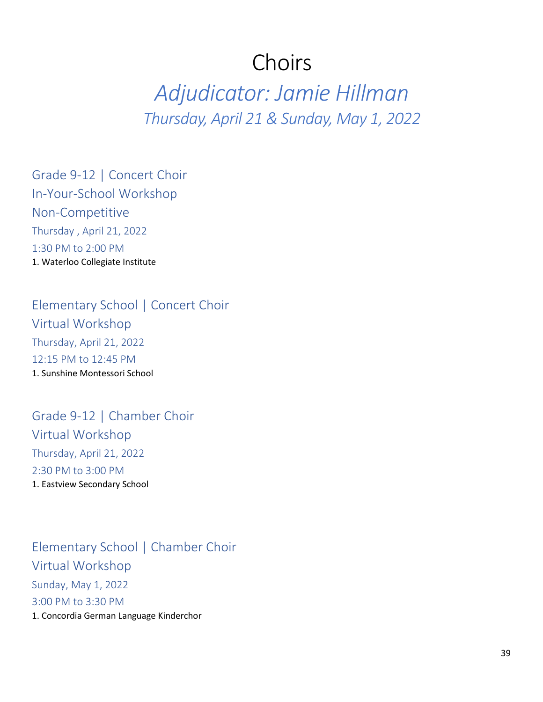# Choirs

*Adjudicator: Jamie Hillman Thursday, April 21 & Sunday, May 1, 2022*

Grade 9-12 | Concert Choir In-Your-School Workshop Non-Competitive Thursday , April 21, 2022 1:30 PM to 2:00 PM 1. Waterloo Collegiate Institute

Elementary School | Concert Choir Virtual Workshop Thursday, April 21, 2022 12:15 PM to 12:45 PM 1. Sunshine Montessori School

Grade 9-12 | Chamber Choir Virtual Workshop Thursday, April 21, 2022 2:30 PM to 3:00 PM 1. Eastview Secondary School

Elementary School | Chamber Choir Virtual Workshop Sunday, May 1, 2022 3:00 PM to 3:30 PM 1. Concordia German Language Kinderchor